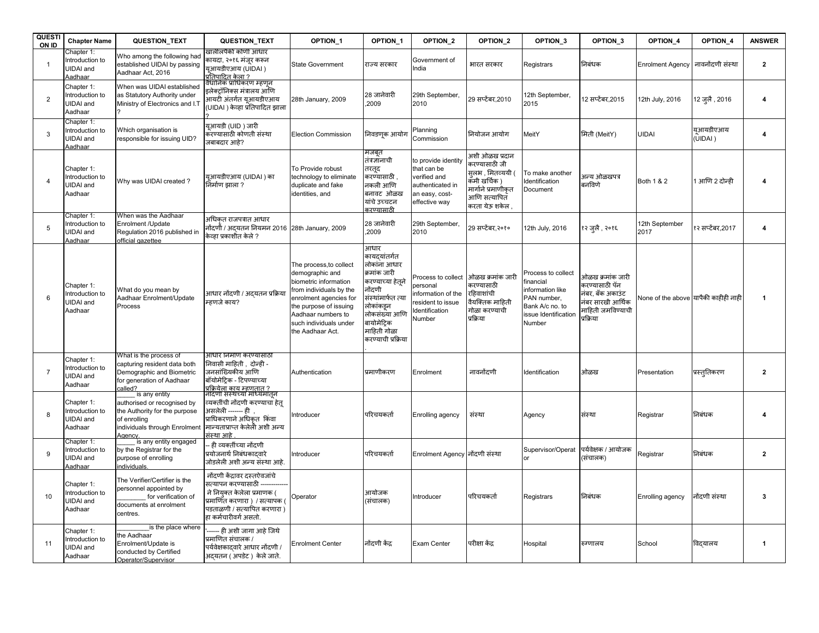| <b>QUESTI</b><br>ON ID | <b>Chapter Name</b>                                          | QUESTION_TEXT                                                                                                                  | QUESTION_TEXT                                                                                                                                                            | OPTION_1                                                                                                                                                                                                               | OPTION_1                                                                                                                                                                                  | OPTION_2                                                                                                  | OPTION_2                                                                                                                                  | OPTION <sub>3</sub>                                                                                                     | OPTION_3                                                                                                      | OPTION 4                             | OPTION 4            | <b>ANSWER</b>           |
|------------------------|--------------------------------------------------------------|--------------------------------------------------------------------------------------------------------------------------------|--------------------------------------------------------------------------------------------------------------------------------------------------------------------------|------------------------------------------------------------------------------------------------------------------------------------------------------------------------------------------------------------------------|-------------------------------------------------------------------------------------------------------------------------------------------------------------------------------------------|-----------------------------------------------------------------------------------------------------------|-------------------------------------------------------------------------------------------------------------------------------------------|-------------------------------------------------------------------------------------------------------------------------|---------------------------------------------------------------------------------------------------------------|--------------------------------------|---------------------|-------------------------|
| $\mathbf{1}$           | Chapter 1:<br>Introduction to<br>UIDAI and<br>Aadhaar        | Who among the following had<br>established UIDAI by passing<br>Aadhaar Act, 2016                                               | खालीलपैकी कोणी आधार<br>कायदा, २०१६ मंजुर करून<br>यआयडीएआय (UIDAI )<br><u>प्रतिपादित केला ?</u>                                                                           | <b>State Government</b>                                                                                                                                                                                                | राज्य सरकार                                                                                                                                                                               | Government of<br>India                                                                                    | भारत सरकार                                                                                                                                | Registrars                                                                                                              | निबंधक                                                                                                        | <b>Enrolment Agency</b>              | नावनोंदणी संस्था    | $\overline{2}$          |
| $\overline{2}$         | Chapter 1:<br>Introduction to<br>UIDAI and<br>Aadhaar        | When was UIDAI established<br>as Statutory Authority under<br>Ministry of Electronics and I.T                                  | इलेक्टॉनिक्स मंत्रालय आणि<br>आयटी अंतर्गत युआयडीएआय<br>(UIDAI ) केव्हा प्रतिपादित झाला                                                                                   | 28th January, 2009                                                                                                                                                                                                     | 28 जानेवारी<br>,2009                                                                                                                                                                      | 29th September,<br>2010                                                                                   | 29 सप्टेंबर,2010                                                                                                                          | 12th September,<br>2015                                                                                                 | 12 सप्टेंबर,2015                                                                                              | 12th July, 2016                      | 12 ज़लै , 2016      | $\overline{\mathbf{4}}$ |
| 3                      | Chapter 1:<br>Introduction to<br>UIDAI and<br>Aadhaar        | Which organisation is<br>responsible for issuing UID?                                                                          | युआयडी (UID ) जारी<br>करण्यासाठी कोणती संस्था<br>जबाबदार आहे?                                                                                                            | <b>Election Commission</b>                                                                                                                                                                                             | निवडण्ऋ आयोग                                                                                                                                                                              | Planning<br>Commission                                                                                    | नियोजन आयोग                                                                                                                               | MeitY                                                                                                                   | मिती (MeitY)                                                                                                  | UIDAI                                | यआयडीएआय<br>(UIDAI) | 4                       |
| $\overline{4}$         | Chapter 1:<br>Introduction to<br>UIDAI and<br>Aadhaar        | Why was UIDAI created?                                                                                                         | युआयडीएआय (UIDAI) का<br>निर्माण झाला ?                                                                                                                                   | To Provide robust<br>technology to eliminate<br>duplicate and fake<br>identities, and                                                                                                                                  | मजबूत<br>तंत्रज्ञोनाची<br>तरतूद<br>करण्यासाठी ,<br>नकली आणि<br>बनावट ओळख<br>यांचे उच्चटन<br>करण्यामाठी                                                                                    | to provide identity<br>that can be<br>verified and<br>authenticated in<br>an easy, cost-<br>effective way | भशी ओळख प्रदान<br><sub>ि</sub> रण्यासाठी जी<br>सलभ , मितव्ययी (<br>कॅमी खर्चिक )<br>मार्गाने प्रमाणीकत<br>आणि सत्यापित<br>करता येऊ शकेल . | To make another<br>Identification<br>Document                                                                           | अन्य ओळखपत्र<br>बनविणे                                                                                        | Both 1 & 2                           | 1 आणि 2 दोन्ही      | 4                       |
| 5                      | Chapter 1:<br>Introduction to<br><b>UIDAI</b> and<br>Aadhaar | When was the Aadhaar<br>Enrolment /Update<br>Regulation 2016 published in<br>official gazettee                                 | अधिकत राजपत्रात आधार<br>नोंदर्णौ / अदयतन नियमन 2016 28th January, 2009<br>केव्हा प्रकाशीत केले ?                                                                         |                                                                                                                                                                                                                        | 28 जानेवारी<br>.2009                                                                                                                                                                      | 29th September,<br>2010                                                                                   | 29 सप्टेंबर,२०१०                                                                                                                          | 12th July, 2016                                                                                                         | १२ जलै , २०१६                                                                                                 | 12th September<br>2017               | १२ सप्टेंबर,2017    | $\overline{\mathbf{4}}$ |
| 6                      | Chapter 1:<br>Introduction to<br>UIDAI and<br>Aadhaar        | What do you mean by<br>Aadhaar Enrolment/Update<br>Process                                                                     | आधार नोंदणी / अदयतन प्रक्रिया<br>म्हणजे काय?                                                                                                                             | The process, to collect<br>demographic and<br>biometric information<br>from individuals by the<br>enrolment agencies for<br>the purpose of issuing<br>Aadhaar numbers to<br>such individuals under<br>the Aadhaar Act. | आधार<br>कायदयांतर्गत<br>लोकांना आधार<br>क्रमांक जारी<br>करण्याच्या हेतुने<br>नोंदणी<br>संस्थांमार्फत त्या<br>लोकांकड़न<br>लोकसंख्या आणि<br>बायोमेटिक<br>माहिती गोळा<br>करण्याची प्रक्रिया | Process to collect<br>personal<br>nformation of the<br>resident to issue<br>Identification<br>Number      | ओळख क्रमांक जारी<br>ॸरण्यासाठी<br>रहिवाशांची<br>वैयक्तिक माहिती<br>गोळा करण्याची<br>प्रक्रिया                                             | Process to collect<br>financial<br>information like<br>PAN number,<br>Bank A/c no. to<br>issue Identification<br>Number | ओळख क्रमांक जारी<br>करण्यासाठी पॅन<br>नंबर, बँक अकाउंट<br>नंबर सारखी आर्थिक<br>माहिती जमविण्याची<br>प्रक्रिया | None of the above यापैकी काहीही नाही |                     | -1                      |
| $\overline{7}$         | Chapter 1:<br>Introduction to<br>UIDAI and<br>Aadhaar        | What is the process of<br>capturing resident data both<br>Demographic and Biometric<br>for generation of Aadhaar<br>called?    | आधार निर्माण करण्यासाठी<br>निवासी माहिती , दोन्ही -<br>जनसांख्यिकीय आणि<br>बॉयोमेटिक - टिपण्याच्या<br>प्रक्रियेला काय म्हणतात ?                                          | Authentication                                                                                                                                                                                                         | प्रमाणीकरण                                                                                                                                                                                | Enrolment                                                                                                 | नावनोंदणी                                                                                                                                 | Identification                                                                                                          | ओळख                                                                                                           | Presentation                         | प्रस्तुतिकरण        | $\overline{2}$          |
| 8                      | Chapter 1:<br>Introduction to<br><b>JIDAI</b> and<br>Aadhaar | is any entity<br>authorised or recognised by<br>the Authority for the purpose<br>of enrolling<br>individuals through Enrolment | नैदिणी संस्थेच्या मध्यिमातून<br>व्यक्तींची नोंदणी करण्याचा हेत्<br>असलेली ------ ही).<br>प्राधिकरणाने अधिकत किंवा<br>मान्यताप्राप्त केलेली अशी अन्य<br>.<br>रस्था आहे    | Introducer                                                                                                                                                                                                             | परिचयकर्ता                                                                                                                                                                                | Enrolling agency                                                                                          | संस्था                                                                                                                                    | Agency                                                                                                                  | संस्था                                                                                                        | Registrar                            | निबंधक              | 4                       |
| 9                      | Chapter 1:<br>Introduction to<br>UIDAI and<br>Aadhaar        | is any entity engaged<br>by the Registrar for the<br>purpose of enrolling<br>individuals                                       | - ही व्यक्तींच्या नोंदणी<br>प्रयोजनार्थ निबंधकादवारे<br>जोडलेली अशी अन्य संस्था आहे.                                                                                     | Introducer                                                                                                                                                                                                             | परिचयकर्ता                                                                                                                                                                                | Enrolment Agency नोंदणी संस्था                                                                            |                                                                                                                                           | Supervisor/Operat                                                                                                       | पर्यवेक्षक / आयोजक<br>(संचालक)                                                                                | Registrar                            | निबंधक              | $\overline{2}$          |
| 10                     | Chapter 1:<br>Introduction to<br><b>JIDAI</b> and<br>Aadhaar | The Verifier/Certifier is the<br>personnel appointed by<br>for verification of<br>documents at enrolment<br>centres.           | नोंदणी केंद्रावर दस्तऐवजांचे<br>सत्यापन करण्यासाठी<br>ने नियुक्त केलेला प्रमाणक (<br>प्रमाणित करणारा ) / सत्यापक।<br>पडताळणी / सत्यापित करणारा)<br>हा कर्मचारीवर्ग असतो. | Operator                                                                                                                                                                                                               | आयोजक<br>(संचालक)                                                                                                                                                                         | Introducer                                                                                                | परिचयकर्ता                                                                                                                                | Registrars                                                                                                              | निबंधक                                                                                                        | Enrolling agency                     | नोंदणी संस्था       | 3                       |
| 11                     | Chapter 1:<br>Introduction to<br><b>JIDAI</b> and<br>Aadhaar | is the place where<br>he Aadhaar<br>Enrolment/Update is<br>conducted by Certified<br>Operator/Supervisor                       | ही अशी जागा आहे जिथे<br>प्रमाणित संचालक /<br>पर्यवेक्षकादवारे आधार नोंदणी /<br>अदयतन (अपडेट) केले जाते.                                                                  | <b>Enrolment Center</b>                                                                                                                                                                                                | नोंदणी केंद्र                                                                                                                                                                             | Exam Center                                                                                               | परीक्षा केंद्र                                                                                                                            | Hospital                                                                                                                | रुग्णालय                                                                                                      | School                               | विदयालय             | 1                       |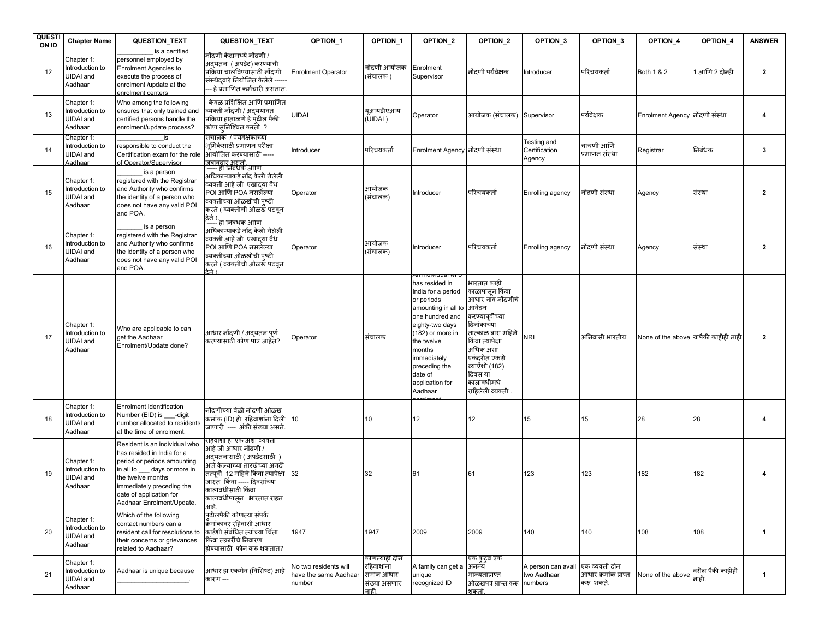| <b>QUESTI</b><br>ON ID | <b>Chapter Name</b>                                   | QUESTION_TEXT                                                                                                                                                                                                                        | QUESTION_TEXT                                                                                                                                                                                                                              | OPTION_1                                                 | OPTION_1                                                          | OPTION_2                                                                                                                                                                                                                             | OPTION_2                                                                                                                                                                                                                             | OPTION <sub>3</sub>                          | OPTION_3                                            | OPTION_4                             | OPTION_4                  | <b>ANSWER</b> |
|------------------------|-------------------------------------------------------|--------------------------------------------------------------------------------------------------------------------------------------------------------------------------------------------------------------------------------------|--------------------------------------------------------------------------------------------------------------------------------------------------------------------------------------------------------------------------------------------|----------------------------------------------------------|-------------------------------------------------------------------|--------------------------------------------------------------------------------------------------------------------------------------------------------------------------------------------------------------------------------------|--------------------------------------------------------------------------------------------------------------------------------------------------------------------------------------------------------------------------------------|----------------------------------------------|-----------------------------------------------------|--------------------------------------|---------------------------|---------------|
| 12                     | Chapter 1:<br>Introduction to<br>JIDAI and<br>Aadhaar | is a certified<br>personnel employed by<br><b>Enrolment Agencies to</b><br>execute the process of<br>enrolment /update at the<br>enrolment centers                                                                                   | नोंदणी केंद्रामध्ये नोंदणी /<br>अदयतन  ( अपडेट) करण्याची<br>प्रक्रिया चालविण्यासाठी नोंदणी<br>संस्थेदवारे नियोजित केलेले ----<br>- हे प्रमाणित कर्मचारी असतात.                                                                             | <b>Enrolment Operator</b>                                | नोंदणी आयोजक<br>(संचालक )                                         | Enrolment<br>Supervisor                                                                                                                                                                                                              | नोंदणी पर्यवेक्षक                                                                                                                                                                                                                    | Introducer                                   | परिचयकर्ता                                          | Both 1 & 2                           | 1 आणि 2 दोन्ही            | 2             |
| 13                     | Chapter 1:<br>Introduction to<br>UIDAI and<br>Aadhaar | Who among the following<br>ensures that only trained and<br>certified persons handle the<br>enrolment/update process?                                                                                                                | केवळ प्रशिक्षित आणि प्रमाणित<br>व्यक्ती नोंदणी / अदययावत<br>प्रक्रिया हाताळणे हे पुढील पैकी<br>कोण सुनिश्चित करतो ?                                                                                                                        | <b>UIDAI</b>                                             | युआयडीएआय<br>(UIDAI)                                              | Operator                                                                                                                                                                                                                             | आयोजक (संचालक)                                                                                                                                                                                                                       | Supervisor                                   | पर्यवेक्षक                                          | Enrolment Agency नोंदणी संस्था       |                           | 4             |
| 14                     | Chapter 1:<br>Introduction to<br>UIDAI and<br>Aadhaar | responsible to conduct the<br>Certification exam for the role<br>of Operator/Supervisor                                                                                                                                              | सचालक / पर्यवेक्षकाच्या<br>भ्रमिकेसाठी प्रमाणन परीक्षा<br>आंयोजित करण्यासाठी -----<br><u>जबाबदार असतो.</u><br>----- ही निबंधक आणि                                                                                                          | ntroducer                                                | परिचयकर्ता                                                        | Enrolment Agency नोंदणी संस्था                                                                                                                                                                                                       |                                                                                                                                                                                                                                      | Testing and<br>Certification<br>Agency       | चाचणी आणि<br>प्रमाणन संस्था                         | Registrar                            | निबंधक                    | 3             |
| 15                     | Chapter 1:<br>Introduction to<br>UIDAI and<br>Aadhaar | is a person<br>registered with the Registrar<br>and Authority who confirms<br>the identity of a person who<br>does not have any valid POI<br>and POA.                                                                                | अधिकाऱ्याकडे नोंद केली गेलेली<br>व्यक्ती आहे जी  एखादया वैध<br>POI आणि POA नसलेल्या<br>व्यक्तीच्या ओळखीची पष्टी<br>करते ( व्यक्तीची ओळख पटवृन<br>टेने ।                                                                                    | Operator                                                 | आयोजक<br>(संचालक)                                                 | Introducer                                                                                                                                                                                                                           | परिचयकर्ता                                                                                                                                                                                                                           | Enrolling agency                             | नोंदणी संस्था                                       | Agency                               | संस्था                    | $\mathbf{2}$  |
| 16                     | Chapter 1:<br>Introduction to<br>UIDAI and<br>Aadhaar | is a person<br>registered with the Registrar<br>and Authority who confirms<br>the identity of a person who<br>does not have any valid POI<br>and POA.                                                                                | ---- हा जिंबंधक आणि<br>अधिकाऱ्याकडे नोंद केली गेलेली<br>व्यक्ती आहे जी  एखादया वैध<br>POI आणि POA नसलेल्या<br>व्यक्तीच्या ओळखीची पुष्टी<br>करते ( व्यक्तीची ओळख पटवून<br>ਾੜੇ ।                                                             | Operator                                                 | आयोजक<br>(संचालक)                                                 | Introducer                                                                                                                                                                                                                           | परिचयकर्ता                                                                                                                                                                                                                           | Enrolling agency                             | नोंदणी संस्था                                       | Agency                               | संस्था                    | $\mathbf{2}$  |
| 17                     | Chapter 1:<br>Introduction to<br>UIDAI and<br>Aadhaar | Who are applicable to can<br>get the Aadhaar<br>Enrolment/Update done?                                                                                                                                                               | आधार नोंदणी / अदयतन पर्ण<br>करण्यासाठी कोण पात्र आहेत?                                                                                                                                                                                     | Operator                                                 | संचालक                                                            | has resided in<br>India for a period<br>or periods<br>amounting in all to<br>one hundred and<br>eighty-two days<br>(182) or more in<br>the twelve<br>months<br>immediately<br>preceding the<br>date of<br>application for<br>Aadhaar | भारतात काही<br>काळापासन किंवा<br>आधार नाव नोंदणीचे<br>आवेदन<br>करण्यापर्वीच्या<br>देनांकाच्या<br>नात्काळ बारा महिने<br>किंवा त्यापेक्षा<br>अधिक अशा<br>एकंदरीत एकशे<br>ब्याऐंशी (182)<br>दिवस या<br>कालावधीमधे<br>राहिलेली व्यक्ती . | <b>NRI</b>                                   | अनिवासी भारतीय                                      | None of the above यापैकी काहीही नाही |                           | $\mathbf{2}$  |
| 18                     | Chapter 1:<br>Introduction to<br>UIDAI and<br>Aadhaar | Enrolment Identification<br>Number (EID) is ___-digit<br>number allocated to residents<br>at the time of enrolment.                                                                                                                  | नोंदणीच्या वेळी नोंदणी ओळख<br>क्रमांक (ID) ही  रहिवाशांना दिली<br>जाणारी ---- अंकी संख्या असते.                                                                                                                                            | 10                                                       | 10                                                                | 12                                                                                                                                                                                                                                   | 12                                                                                                                                                                                                                                   | 15                                           | 15                                                  | 28                                   | 28                        |               |
| 19                     | Chapter 1:<br>Introduction to<br>UIDAI and<br>Aadhaar | Resident is an individual who<br>as resided in India for a<br>period or periods amounting<br>in all to ___ days or more in<br>the twelve months<br>immediately preceding the<br>date of application for<br>Aadhaar Enrolment/Update. | राहवाशा हा एक अशा व्यक्ता<br>आहे जी आधार नोंदणी /<br>अदयतनासाठी ( अपडेटसाठी )<br>अर्ज केल्याच्या तारखेच्या अगदी<br>तत्पूर्वी 12 महिने किंवा त्यापेक्षा<br>जास्त किंवा ----- दिवसांच्या<br>कालावधीसाठी किंवा<br>कालावधींपासून   भारतात राहत | 32                                                       | 32                                                                | 61                                                                                                                                                                                                                                   | 61                                                                                                                                                                                                                                   | 123                                          | 123                                                 | 182                                  | 182                       |               |
| 20                     | Chapter 1:<br>Introduction to<br>UIDAI and<br>Aadhaar | Which of the following<br>contact numbers can a<br>resident call for resolutions to<br>their concerns or grievances<br>related to Aadhaar?                                                                                           | पढीलपैकी कोणत्या संपर्क<br>क्रॅमांकावर रहिवाशी आधार<br>कार्डशी संबंधित त्यांच्या चिंता<br>किंवा तक्रारींचे निवारण<br>होण्यासाठी फोन करू शकतात?                                                                                             | 1947                                                     | 1947                                                              | 2009                                                                                                                                                                                                                                 | 2009                                                                                                                                                                                                                                 | 140                                          | 140                                                 | 108                                  | 108                       | -1            |
| 21                     | Chapter 1:<br>Introduction to<br>UIDAI and<br>Aadhaar | Aadhaar is unique because                                                                                                                                                                                                            | आधार हा एकमेव (विशिष्ट) आहे<br>कारण ---                                                                                                                                                                                                    | No two residents will<br>have the same Aadhaar<br>number | कोणत्याही दोन<br>रहिवाशांना<br>समान आधार<br>संख्या असणार<br>नाही. | A family can get a<br>unique<br>recognized ID                                                                                                                                                                                        | एक कुटुब एक<br>अनन्य<br>मान्यताप्राप्त<br>ओळखपत्र प्राप्त करू<br>शकतो.                                                                                                                                                               | A person can avail<br>two Aadhaar<br>numbers | एक व्यक्ती दोन<br>आधार क्रमांक प्राप्त<br>करू शकते. | None of the above                    | वरील पैकी काहीही<br>नाही. | $\mathbf{1}$  |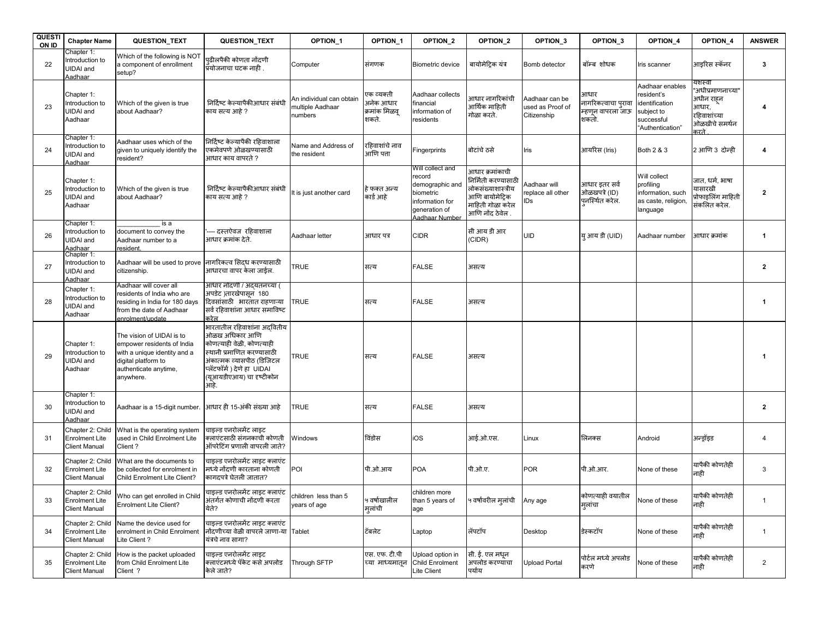| <b>QUESTI</b><br>ON ID | <b>Chapter Name</b>                                               | <b>QUESTION TEXT</b>                                                                                                                                 | QUESTION_TEXT                                                                                                                                                                                            | OPTION_1                                                | OPTION_1                                          | OPTION_2                                                                                                         | OPTION <sub>2</sub>                                                                                                   | OPTION_3                                          | OPTION_3                                                  | OPTION_4                                                                                        | OPTION_4                                                                                    | <b>ANSWER</b>  |
|------------------------|-------------------------------------------------------------------|------------------------------------------------------------------------------------------------------------------------------------------------------|----------------------------------------------------------------------------------------------------------------------------------------------------------------------------------------------------------|---------------------------------------------------------|---------------------------------------------------|------------------------------------------------------------------------------------------------------------------|-----------------------------------------------------------------------------------------------------------------------|---------------------------------------------------|-----------------------------------------------------------|-------------------------------------------------------------------------------------------------|---------------------------------------------------------------------------------------------|----------------|
| 22                     | Chapter 1:<br>Introduction to<br>JIDAI and<br>Aadhaar             | Which of the following is NOT<br>a component of enrollment<br>setup?                                                                                 | पढीलपैकी कोणता नोंदणी<br>प्रयोजनाचा घटक नाही .                                                                                                                                                           | Computer                                                | संगणक                                             | Biometric device                                                                                                 | बायोमेट्रिक यंत्र                                                                                                     | Bomb detector                                     | बॉम्ब शोधक                                                | Iris scanner                                                                                    | आइरिस स्कॅनर                                                                                | 3              |
| 23                     | Chapter 1:<br>Introduction to<br>UIDAI and<br>Aadhaar             | Which of the given is true<br>about Aadhaar?                                                                                                         | निर्दिष्ट केल्यापैकीआधार संबंधी<br>काय सत्य आहे ?                                                                                                                                                        | An individual can obtain<br>multiple Aadhaar<br>numbers | एक व्यक्ती<br>अनेक आधार<br>क्रमांक मिळवू<br>शकते. | Aadhaar collects<br>financial<br>information of<br>residents                                                     | आधार नागरिकांची<br>आर्थिक माहिती<br>गोळा करते.                                                                        | Aadhaar can be<br>used as Proof of<br>Citizenship | आधार<br>नागरिकत्वाचा प्रावा<br>म्हणून वापरला जाऊ<br>शकतो. | Aadhaar enables<br>resident's<br>identification<br>subject to<br>successful<br>"Authentication" | यशस्वी<br>"अधीप्रमाणनाच्या"<br>अधीन राहुन<br>आधार,<br>रहिवाशांच्या<br>ओळखीचे समर्थन<br>करते |                |
| 24                     | Chapter 1:<br>ntroduction to<br>JIDAI and<br>Aadhaar              | Aadhaar uses which of the<br>given to uniquely identify the<br>resident?                                                                             | निर्दिष्ट केल्यापैकी रहिवाशाला<br>एकमेवपणे ओळखण्यासाठी<br>आधार काय वापरते ?                                                                                                                              | Name and Address of<br>the resident                     | रहिवाशांचे नाव<br>आणि पता                         | Fingerprints                                                                                                     | बोटांचे ठसे                                                                                                           | Iris                                              | आयरिस (Iris)                                              | Both 2 & 3                                                                                      | 2 आणि 3 दोन्ही                                                                              | 4              |
| 25                     | Chapter 1:<br>ntroduction to<br>UIDAI and<br>Aadhaar              | Which of the given is true<br>about Aadhaar?                                                                                                         | निर्दिष्ट केल्यापैकीआधार संबंधी<br>काय सत्य आहे ?                                                                                                                                                        | It is just another card                                 | हे फक्त अन्य<br>कार्ड आहे                         | Will collect and<br>record<br>demographic and<br>biometric<br>information for<br>generation of<br>Aadhaar Number | आधार क्रमांकाची<br>निर्मिती करण्यासाठी<br>नोकसंख्याशास्त्रीय<br>आणि बायोमेटिक<br>माहिती गोळा करेल<br>आणि नोंद ठेवेल . | Aadhaar will<br>replace all other<br>IDs          | आधार इतर सर्व<br>ओळखपत्रे (ID)<br>पुनस्थित करेल.          | Will collect<br>profiling<br>information, such<br>as caste, religion,<br>language               | जात, धर्म, भाषा<br>यासारखी<br>प्रोफाइलिंग माहिती<br>संकलित करेल.                            | 2              |
| 26                     | Chapter 1:<br>Introduction to<br>UIDAI and<br>Aadhaar             | is a<br>document to convey the<br>Aadhaar number to a<br>esident.                                                                                    | दस्तऐवज रहिवाशाला<br>आधार क्रमांक देते.                                                                                                                                                                  | Aadhaar letter                                          | आधार पत्र                                         | <b>CIDR</b>                                                                                                      | सी आय डी आर<br>(CIDR)                                                                                                 | <b>UID</b>                                        | य आय डी (UID)                                             | Aadhaar number                                                                                  | आधार क्रमांक                                                                                | $\mathbf{1}$   |
| 27                     | Chapter 1:<br>Introduction to<br>UIDAI and<br>Aadhaar             | Aadhaar will be used to prove लागरिकत्व सिदध करण्यासाठी<br>citizenship.                                                                              | आधारचा वापर केला जाईल.                                                                                                                                                                                   | <b>TRUE</b>                                             | सत्य                                              | <b>FALSE</b>                                                                                                     | असत्य                                                                                                                 |                                                   |                                                           |                                                                                                 |                                                                                             | $\overline{2}$ |
| 28                     | Chapter 1:<br>Introduction to<br>JIDAI and<br>Aadhaar             | Aadhaar will cover all<br>residents of India who are<br>residing in India for 180 days<br>from the date of Aadhaar<br>enrolment/update               | आधार नोंदणी / अंदयतनच्या (<br>अपडेट )तारखेपासून 180<br>दिवसांसाठी भारतात राहणाऱ्या<br>सर्व रहिवाशांना आधार समाविष्ट<br>करेल                                                                              | <b>TRUE</b>                                             | सत्य                                              | <b>FALSE</b>                                                                                                     | असत्य                                                                                                                 |                                                   |                                                           |                                                                                                 |                                                                                             | $\mathbf{1}$   |
| 29                     | Chapter 1:<br>Introduction to<br>UIDAI and<br>Aadhaar             | The vision of UIDAI is to<br>empower residents of India<br>with a unique identity and a<br>digital platform to<br>authenticate anytime,<br>anywhere. | भारतातील रहिवाशांना अदवितीय<br>ओळख अधिकार आणि<br>कोणत्याही वेळी. कोणत्याही<br>स्थानी प्रमाणित करण्यासाठी<br>अंकात्मक व्यासपीठ (डिजिटल<br>प्लॅटफॉर्म ) देणे हा  UIDAI<br>(युआयडीएआय) चा दृष्टीकोन<br>आहे. | <b>TRUE</b>                                             | सत्य                                              | <b>FALSE</b>                                                                                                     | असत्य                                                                                                                 |                                                   |                                                           |                                                                                                 |                                                                                             | -1             |
| 30                     | Chapter 1:<br>Introduction to<br>UIDAI and<br>Aadhaar             | Aadhaar is a 15-digit number.                                                                                                                        | आधार ही 15-अंकी संख्या आहे                                                                                                                                                                               | <b>TRUE</b>                                             | सत्य                                              | <b>FALSE</b>                                                                                                     | असत्य                                                                                                                 |                                                   |                                                           |                                                                                                 |                                                                                             | $\overline{2}$ |
| 31                     | Chapter 2: Child<br><b>Enrolment Lite</b><br><b>Client Manual</b> | What is the operating system<br>used in Child Enrolment Lite<br>Client?                                                                              | चाइल्ड एनरोलमेंट लाइट<br>क्लाएंटसाठी संगनकाची कोणती<br>ऑपरेटिंग प्रणाली वापरली जाते?                                                                                                                     | Windows                                                 | विंडोस                                            | iOS                                                                                                              | आई.ओ.एस.                                                                                                              | Linux                                             | लिनक्स                                                    | Android                                                                                         | अन्ड्रॉइड                                                                                   | $\overline{4}$ |
| 32                     | Chapter 2: Child<br><b>Enrolment Lite</b><br><b>Client Manual</b> | What are the documents to<br>be collected for enrolment in<br>Child Enrolment Lite Client?                                                           | चाइल्ड एनरोलमेंट लाइट क्लाएंट<br>मध्ये नोंदणी कारताना कोणती<br>कागदपत्रे घेतली जातात?                                                                                                                    | POI                                                     | पी.ओ.आय                                           | <b>POA</b>                                                                                                       | पी.ओ.ए.                                                                                                               | <b>POR</b>                                        | पी.ओ.आर.                                                  | None of these                                                                                   | यापैकी कोणतेही<br>नाही                                                                      | 3              |
| 33                     | Chapter 2: Child<br><b>Enrolment Lite</b><br><b>Client Manual</b> | Who can get enrolled in Child<br><b>Enrolment Lite Client?</b>                                                                                       | चाडल्ड एनरोलमेंट लाडट क्लाएंट<br>अंतर्गत कोणाची नोंदणी करता<br>येते?                                                                                                                                     | children less than 5<br>years of age                    | ५ वर्षाखालील<br>मुलांची                           | children more<br>than 5 years of<br>age                                                                          | ५ वर्षांवरील मुलांची      Any age                                                                                     |                                                   | कोणत्याही वयातील<br>मलांचा                                | None of these                                                                                   | यापैकी कोणतेही<br>नाही                                                                      | $\overline{1}$ |
| 34                     | Chapter 2: Child<br><b>Enrolment Lite</b><br><b>Client Manual</b> | Name the device used for<br>enrolment in Child Enrolment<br>Lite Client?                                                                             | चाइल्ड एनरोलमेंट लाइट क्लाएंट<br>नोंदणीच्या वेळी वापरले जाणा-या Tablet<br>यंत्रचे नाव सागा?                                                                                                              |                                                         | ਟੱਕਕੇਟ                                            | Laptop                                                                                                           | लॅपटॉप                                                                                                                | Desktop                                           | डेस्कटॉप                                                  | None of these                                                                                   | यापैकी कोणतेही<br>नाही                                                                      | $\mathbf{1}$   |
| 35                     | Chapter 2: Child<br><b>Enrolment Lite</b><br><b>Client Manual</b> | How is the packet uploaded<br>from Child Enrolment Lite<br>Client ?                                                                                  | चाइल्ड एनरोलमेंट लाइट<br>क्लाएंटमध्ये पॅकेट कसे अपलोड<br>केले जाते?                                                                                                                                      | Through SFTP                                            | एस. एफ. टी.पी<br>च्या माध्यमातून                  | Upload option in<br><b>Child Enrolment</b><br>Lite Client                                                        | सी. ई. एल मधन<br>अपलोड करण्यांचा<br>पर्याय                                                                            | <b>Upload Portal</b>                              | पोर्टल मध्ये अपलोड<br>करणे                                | None of these                                                                                   | यापैकी कोणतेही<br>नाही                                                                      | $\overline{2}$ |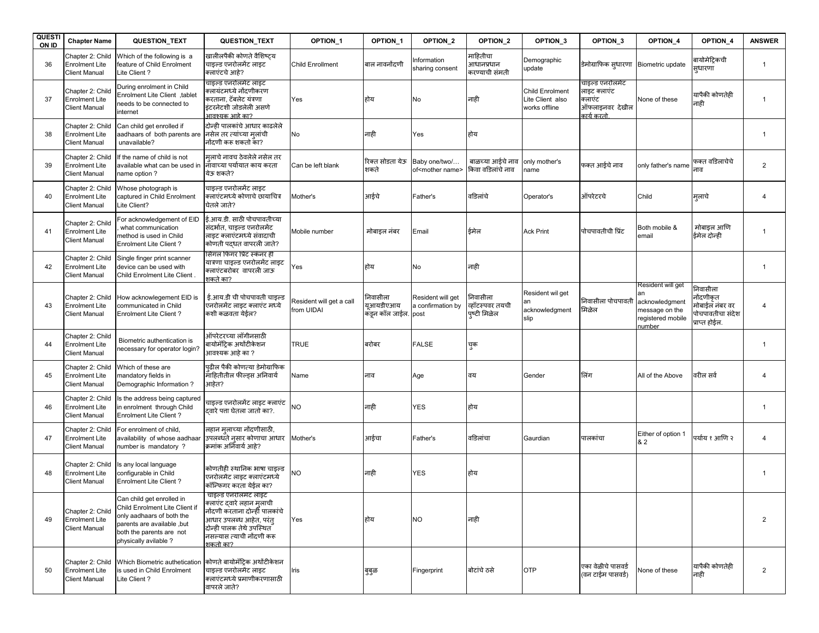| <b>QUESTI</b><br>ON ID | <b>Chapter Name</b>                                               | QUESTION_TEXT                                                                                                                                                              | QUESTION_TEXT                                                                                                                                                                         | OPTION_1                               | OPTION_1                                     | OPTION_2                                      | OPTION_2                                   | OPTION_3                                                    | OPTION_3                                                                   | OPTION_4                                                                             | OPTION_4                                                                     | <b>ANSWER</b>  |
|------------------------|-------------------------------------------------------------------|----------------------------------------------------------------------------------------------------------------------------------------------------------------------------|---------------------------------------------------------------------------------------------------------------------------------------------------------------------------------------|----------------------------------------|----------------------------------------------|-----------------------------------------------|--------------------------------------------|-------------------------------------------------------------|----------------------------------------------------------------------------|--------------------------------------------------------------------------------------|------------------------------------------------------------------------------|----------------|
| 36                     | Chapter 2: Child<br>Enrolment Lite<br><b>Client Manual</b>        | Which of the following is a<br>feature of Child Enrolment<br>te Client?                                                                                                    | खालीलपैकी कोणते वैशिष्टय<br>चाइल्ड एनरोलमेंट लाइट<br>क्लाएंटचे आहे?                                                                                                                   | <b>Child Enrollment</b>                | बाल नावनोंदणी                                | Information<br>sharing consent                | माहितीचा<br>आधानप्रधान<br>करण्याची संमती   | Demographic<br>update                                       | डेमोग्राफिक सुधारणा Biometric update                                       |                                                                                      | बायोमेटिकची<br>सुधारणा                                                       | -1             |
| 37                     | Chapter 2: Child<br>Enrolment Lite<br><b>Client Manual</b>        | During enrolment in Child<br>Enrolment Lite Client, tablet<br>needs to be connected to<br>hternet                                                                          | चाइल्ड एनरोलमेट लाइट<br>क्लायंटमध्ये नोंदणीकरण<br>करताना, टॅबलेट यंत्रणा<br>इंटरनेटशी जोडलेली असणे<br>आवश्यक आहे का?                                                                  | Yes                                    | होय                                          | No                                            | नाही                                       | <b>Child Enrolment</b><br>Lite Client also<br>works offline | चाइल्ड एनरोलमेट<br>लाइट क्लाएंट<br>क्लाएंट<br>ऑफलाइनवर देखील<br>कार्य करतो | None of these                                                                        | यापैकी कोणतेही<br>नाही                                                       |                |
| 38                     | Chapter 2: Child<br><b>Enrolment Lite</b><br><b>Client Manual</b> | Can child get enrolled if<br>aadhaars of both parents are निसेल तर त्यांच्या मलांची<br>unavailable?                                                                        | दोन्ही पालकांचे आधार काढलेले<br>नोंदणी करू शकतो का?                                                                                                                                   | No                                     | नाही                                         | Yes                                           | होय                                        |                                                             |                                                                            |                                                                                      |                                                                              | $\overline{1}$ |
| 39                     | Chapter 2: Child<br><b>Enrolment Lite</b><br><b>Client Manual</b> | f the name of child is not<br>available what can be used in<br>name option?                                                                                                | मलाचे नावच ठेवलेले नसेल तर<br>निॉवाच्या पर्यायात काय करता<br>येऊ शकते?                                                                                                                | Can be left blank                      | रिक्त सोडता येऊ<br>शकते                      | Baby one/two/<br>of <mother name=""></mother> | बाळच्या आईचे नाव<br>किवा वडिलांचे नाव      | only mother's<br>name                                       | फक्त आईचे नाव                                                              | only father's name                                                                   | फक्त वडिलाचेचे<br>नाव                                                        | $\overline{2}$ |
| 40                     | Chapter 2: Child<br><b>Enrolment Lite</b><br><b>Client Manual</b> | Whose photograph is<br>captured in Child Enrolment<br>.ite Client?                                                                                                         | चाइल्ड एनरोलमेंट लाइट<br>क्लाएंटमध्ये कोणाचे छायाचित्र<br>घेतले जाते?                                                                                                                 | Mother's                               | आईचे                                         | Father's                                      | वडिलांचे                                   | Operator's                                                  | ऑपरेटरचे                                                                   | Child                                                                                | म्लाचे                                                                       | 4              |
| 41                     | Chapter 2: Child<br><b>Enrolment Lite</b><br><b>Client Manual</b> | or acknowledgement of EID<br>what communication<br>nethod is used in Child<br>Enrolment Lite Client?                                                                       | ई.आय.डी. साठी पोचपावतीच्या<br>संदर्भात, चाइल्ड एनरोलमेंट<br>लाइट क्लाएंटमध्ये संवादाची<br>कोणती पदधत वापरली जाते?                                                                     | Mobile number                          | मोबाइल नंबर                                  | Email                                         | ईमेल                                       | <b>Ack Print</b>                                            | पोचपावतीची प्रिंट                                                          | Both mobile &<br>email                                                               | मोबाइल आणि<br>ईमेल दोन्ही                                                    | $\mathbf 1$    |
| 42                     | Chapter 2: Child<br><b>Enrolment Lite</b><br><b>Client Manual</b> | Single finger print scanner<br>device can be used with<br>Child Enrolment Lite Client                                                                                      | सिगल फिगर प्रिंट स्कॅनर ही<br>यात्रणा चाइल्ड एनरोलमेंट लाइट<br>क्लाएंटबरोबर  वापरली जाऊ<br>शकते का?                                                                                   | Yes                                    | होय                                          | No                                            | नाही                                       |                                                             |                                                                            |                                                                                      |                                                                              | $\mathbf{1}$   |
| 43                     | Chapter 2: Child<br><b>Enrolment Lite</b><br><b>Client Manual</b> | How acknowlegement EID is<br>communicated in Child<br>Enrolment Lite Client?                                                                                               | ई.आय.डी ची पोचपावती चाइल्ड<br>एनरोलमेंट लाइट क्लाएंट मध्ये<br>कशी कळवता येईल?                                                                                                         | Resident will get a call<br>from UIDAI | निवासीला<br>युआयडीएआय<br>कड़न कॉल जाईल. post | Resident will get<br>a confirmation by        | निवासीला<br>व्हॉटस्पवर तयची<br>पष्टी मिळेल | Resident wil get<br>acknowledgment<br>slip                  | निवासीला पोचपावती<br>मिळेल                                                 | Resident will get<br>acknowledgment<br>message on the<br>registered mobile<br>number | निवासीला<br>नोंदणीकृत<br>मोबाईल नंबर वर<br>पोचपावतीचा संदेश<br>प्राप्त होईल. |                |
| 44                     | Chapter 2: Child<br><b>Enrolment Lite</b><br><b>Client Manual</b> | Biometric authentication is<br>necessary for operator login?                                                                                                               | ऑपरेटरच्या लॉगीनसाठी<br>बायोमॅट्रिक अथोंटीकेशन<br>आवश्यक आहे का ?                                                                                                                     | <b>TRUE</b>                            | बरोबर                                        | <b>FALSE</b>                                  | चुक                                        |                                                             |                                                                            |                                                                                      |                                                                              | $\mathbf{1}$   |
| 45                     | Chapter 2: Child<br>Enrolment Lite<br><b>Client Manual</b>        | Which of these are<br>mandatory fields in<br>Demographic Information?                                                                                                      | पढील पैकी कोणत्या डेमोग्राफिक<br>माहितीतील फील्ड्स अनिवार्य<br>आहेत?                                                                                                                  | Name                                   | नाव                                          | Age                                           | वय                                         | Gender                                                      | लिंग                                                                       | All of the Above                                                                     | वरील सर्व                                                                    | $\overline{4}$ |
| 46                     | Chapter 2: Child<br><b>Enrolment Lite</b><br><b>Client Manual</b> | s the address being captured<br>n enrolment through Child<br><b>Enrolment Lite Client?</b>                                                                                 | वाइल्ड एनरोलमेंट लाइट क्लाएंट<br>दवारे पत्ता घेतला जातो का?.                                                                                                                          | NO                                     | नाही                                         | <b>YES</b>                                    | होय                                        |                                                             |                                                                            |                                                                                      |                                                                              | $\mathbf 1$    |
| 47                     | Chapter 2: Child<br><b>Enrolment Lite</b><br><b>Client Manual</b> | For enrolment of child,<br>availability of whose aadhaar<br>number is mandatory?                                                                                           | लहान मृलाच्या नोंदणीसाठी,<br>उपलब्धते नसार कोणाचा आधार<br>क्रमांक अनिवार्य आहे?                                                                                                       | Mother's                               | आईचा                                         | Father's                                      | वडिलांचा                                   | Gaurdian                                                    | पालकांचा                                                                   | Either of option 1<br>& 2                                                            | पर्याय १ आणि २                                                               | $\overline{4}$ |
| 48                     | Chapter 2: Child<br>Enrolment Lite<br><b>Client Manual</b>        | s any local language<br>configurable in Child<br>Enrolment Lite Client?                                                                                                    | कोणतीही स्थानिक भाषा चाइल्ड<br>एनरोलमेंट लाइट क्लाएंटमध्ये<br>कॉन्फिगर करता येईल का?                                                                                                  | ΝO                                     | नाही                                         | YES                                           | होय                                        |                                                             |                                                                            |                                                                                      |                                                                              | $\mathbf{1}$   |
| 49                     | Chapter 2: Child<br><b>Enrolment Lite</b><br>Client Manual        | Can child get enrolled in<br>Child Enrolment Lite Client if<br>only aadhaars of both the<br>parents are available, but<br>both the parents are not<br>physically avilable? | אקניט לאולוניזיה ניזוקט<br>क्लाएंट दवारे लहान मृलाची<br>नोंदणी करताना दोन्हीँ पालकांचे<br>आधार उपलब्ध आहेत, परंत<br>दोन्ही पालक तेथे उपस्थित<br>नसल्यास त्याची नोंदणी करू<br>शकतो का? | Yes                                    | होय                                          | <b>NO</b>                                     | नाही                                       |                                                             |                                                                            |                                                                                      |                                                                              | 2              |
| 50                     | Chapter 2: Child<br><b>Enrolment Lite</b><br><b>Client Manual</b> | Which Biometric authetication<br>is used in Child Enrolment<br>Lite Client?                                                                                                | कोणते बायोमॅटिक अथोंटीकेशन<br>चाइल्ड एनरोलमेंट लाइट<br>क्लाएंटमध्ये प्रमाणीकरणासाठी<br>वापरले जाते?                                                                                   | Iris                                   | बुबुळ                                        | Fingerprint                                   | बोटांचे ठसे                                | <b>OTP</b>                                                  | एका वेळीचे पासवर्ड<br>(वन टाईम पासवर्ड)                                    | None of these                                                                        | यापैकी कोणतेही<br>नाही                                                       | $\overline{2}$ |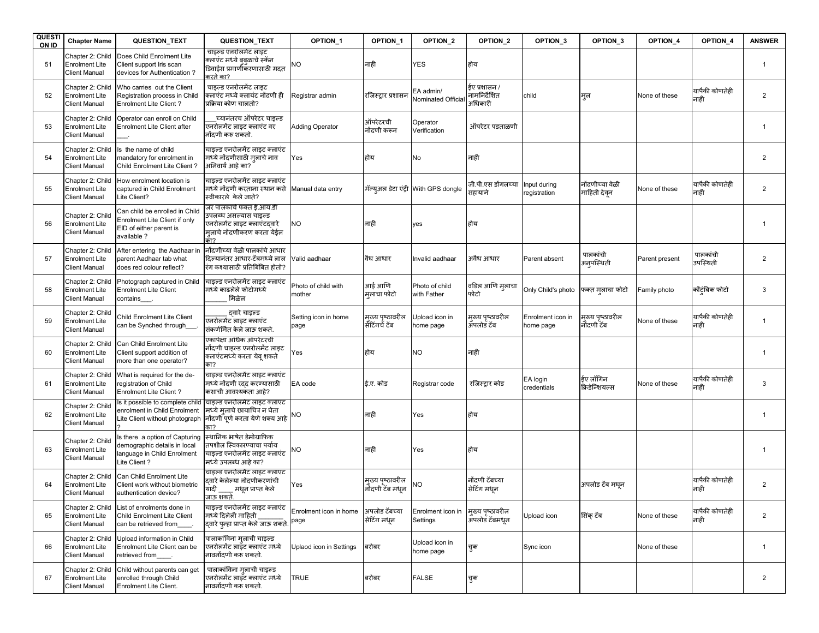| <b>QUESTI</b><br>ON ID | <b>Chapter Name</b>                                               | QUESTION_TEXT                                                                                                                  | QUESTION_TEXT                                                                                                                    | OPTION_1                       | OPTION <sub>1</sub>                 | OPTION_2                               | OPTION <sub>2</sub>                     | OPTION <sub>3</sub>            | OPTION <sub>3</sub>             | OPTION_4       | OPTION_4               | <b>ANSWER</b>  |
|------------------------|-------------------------------------------------------------------|--------------------------------------------------------------------------------------------------------------------------------|----------------------------------------------------------------------------------------------------------------------------------|--------------------------------|-------------------------------------|----------------------------------------|-----------------------------------------|--------------------------------|---------------------------------|----------------|------------------------|----------------|
| 51                     | Chapter 2: Child<br><b>Enrolment Lite</b><br><b>Client Manual</b> | Does Child Enrolment Lite<br>Client support Iris scan<br>devices for Authentication?                                           | चाइल्ड एनरोलमेट लाइट<br>.<br>क्लाएंट मध्ये बुब्ळाचे स्कॅन<br>डिवाईस प्रमाणीकरणासाठी मदत<br>रते का?                               | NO.                            | नाही                                | YES                                    | होय                                     |                                |                                 |                |                        | $\overline{1}$ |
| 52                     | Chapter 2: Child<br><b>Enrolment Lite</b><br><b>Client Manual</b> | Who carries out the Client<br>Registration process in Child<br>Enrolment Lite Client?                                          | चाइल्ड एनरोलमेंट लाइट<br>क्लाएंट मध्ये क्लायंट नोंदणी ही<br>प्रक्रिया कोण चालतो?                                                 | Registrar admin                | रजिस्ट्रार प्रशासन                  | EA admin/<br><b>Nominated Official</b> | ईए प्रशासन /<br>नामनिर्देशित<br>अधिकारी | child                          | मुल                             | None of these  | यापैकी कोणतेही<br>नाही | $\overline{2}$ |
| 53                     | Chapter 2: Child<br>Enrolment Lite<br><b>Client Manual</b>        | Operator can enroll on Child<br>Enrolment Lite Client after                                                                    | च्यानंतरच ऑपरेटर चाइल्ड<br>एनरोलमेंट लाइट क्लाएंट वर<br>नोंदणी करू शकतो.                                                         | <b>Adding Operator</b>         | ऑपरेटरची<br>नोंदणी करून             | Operator<br>Verification               | ऑपरेटर पडताळणी                          |                                |                                 |                |                        | $\overline{1}$ |
| 54                     | Chapter 2: Child<br><b>Enrolment Lite</b><br><b>Client Manual</b> | s the name of child<br>mandatory for enrolment in<br><b>Child Enrolment Lite Client?</b>                                       | चाइल्ड एनरोलमेंट लाइट क्लाएंट<br>मध्ये नोंदणीसाठी मलाचे नाव<br>अनिवार्य आहे का?                                                  | Yes                            | होय                                 | No                                     | नाही                                    |                                |                                 |                |                        | $\overline{2}$ |
| 55                     | Chapter 2: Child<br>Enrolment Lite<br><b>Client Manual</b>        | low enrolment location is<br>captured in Child Enrolment<br>Lite Client?                                                       | चाइल्ड एनरोलमेंट लाइट क्लाएंट<br>मध्ये नोंदणी करताना स्थान कसे Manual data entry<br>स्वीकारले केले जाते?                         |                                |                                     | मॅन्युअल डेटा एंट्री With GPS dongle   | जी.पी.एस डोंगलच्या<br>सहायाने           | Input during<br>registration   | नोंदणीच्या वेळी<br>माहिती देवून | None of these  | यापैकी कोणतेही<br>नाही | $\overline{2}$ |
| 56                     | Chapter 2: Child<br>Enrolment Lite<br><b>Client Manual</b>        | Can child be enrolled in Child<br>Enrolment Lite Client if only<br>EID of either parent is<br>available?                       | जर पालकाचे फक्त ई.आय.डी<br><sup>5</sup> पलब्ध असल्यास चाइल्ड<br>एनरोलमेंट लाइट क्लाएंटदवारे<br>मलाचे नोंदणीकरण करता येईल<br>कॅा? | NO.                            | नाही                                | yes                                    | होय                                     |                                |                                 |                |                        | $\overline{1}$ |
| 57                     | Chapter 2: Child<br><b>Enrolment Lite</b><br><b>Client Manual</b> | After entering the Aadhaar in<br>parent Aadhaar tab what<br>does red colour reflect?                                           | नोंदणीच्या वेळी पालकांचे आधार<br>दिल्यानंतर आधार-टॅबमध्ये लाल<br>रंग कश्यासाठी प्रतिबिंबित होतो?                                 | Valid aadhaar                  | वैध आधार                            | Invalid aadhaar                        | अवैध आधार                               | Parent absent                  | पालकांची<br>अन् <i>प</i> स्थिती | Parent present | पालकांची<br>उपस्थिती   | $\overline{2}$ |
| 58                     | Chapter 2: Child<br><b>Enrolment Lite</b><br><b>Client Manual</b> | Photograph captured in Child<br><b>Enrolment Lite Client</b><br>contains___                                                    | चाइल्ड एनरोलमेंट लाइट क्लाएंट<br>मध्ये काढलेले फोटोमध्ये<br>मिळेल                                                                | Photo of child with<br>mother  | आई आणि<br>मलाचा फोटो                | Photo of child<br>with Father          | वडिल आणि मुलाचा<br>फोटो                 | Only Child's photo             | फक्त मुलाचा फोटो                | Family photo   | कौट्रंबिक फोटो         | 3              |
| 59                     | Chapter 2: Child<br>Enrolment Lite<br><b>Client Manual</b>        | Child Enrolment Lite Client<br>can be Synched through_                                                                         | दवारे चाइल्ड<br>रनरोलमेंट लाइट क्लाएंट<br>संकर्णर्मित केले जाऊ शकते.                                                             | Setting icon in home<br>page   | मुख्य पृष्ठावरील<br>सेंटिंगर्च टॅब  | Upload icon in<br>home page            | म्ख्य पृष्ठावरील<br>ॲपलोडॅ टॅब          | Enrolment icon in<br>home page | म्ख्य पृष्ठावरील<br>नौंदणी टॅब  | None of these  | यापैकी कोणतेही<br>नाही | $\mathbf{1}$   |
| 60                     | Chapter 2: Child<br>Enrolment Lite<br><b>Client Manual</b>        | Can Child Enrolment Lite<br>Client support addition of<br>more than one operator?                                              | एकापेक्षा अधिक ऑपरेटरची<br>नोंदणी चाइल्ड एनरोलमेंट लाइट<br>क्लाएंटमध्ये करता येव् शकते                                           | Yes                            | होय                                 | NO                                     | नाही                                    |                                |                                 |                |                        | $\overline{1}$ |
| 61                     | Chapter 2: Child<br>Enrolment Lite<br><b>Client Manual</b>        | What is required for the de-<br>registration of Child<br>Enrolment Lite Client?                                                | चाइल्ड एनरोलमेंट लाइट क्लाएंट<br>मध्ये नोंदणी रदद करण्यासाठी<br>कशाची आवश्यकता आहे?                                              | EA code                        | ई.ए. कोड                            | Registrar code                         | रजिस्टार कोड                            | EA login<br>credentials        | ईए लॉगिन<br>क्रिडेन्शियल्स      | None of these  | यापैकी कोणतेही<br>नाही | 3              |
| 62                     | Chapter 2: Child<br><b>Enrolment Lite</b><br><b>Client Manual</b> | Is it possible to complete child चाइल्ड एनरोलमेट लाइट क्लाएट<br>enrolment in Child Enrolment<br>Lite Client without photograph | मध्ये मलाचे छायाचित्र न घेता<br>नोंदणी पूर्ण करता येणे शक्य आहे NO<br>— -<br>का?                                                 |                                | नाही                                | Yes                                    | होय                                     |                                |                                 |                |                        | $\mathbf{1}$   |
| 63                     | Chapter 2: Child<br>Enrolment Lite<br><b>Client Manual</b>        | s there a option of Capturing<br>demographic details in local<br>anguage in Child Enrolment<br>Lite Client?                    | स्थानिक भाषेत डेमोग्राफिक<br>तपशील स्विकारण्याचा पर्याय<br>चाइल्ड एनरोलमेंट लाइट क्लाएंट<br>मध्ये उपलब्ध आहे का?                 | NO                             | नाही                                | Yes                                    | होय                                     |                                |                                 |                |                        |                |
| 64                     | Chapter 2: Child<br><b>Enrolment Lite</b><br><b>Client Manual</b> | Can Child Enrolment Lite<br>Client work without biometric<br>authentication device?                                            | चाइल्ड एनरोलमेंट लाइट क्लाएंट<br>दवारे केलेल्या नोंदणीकरणांची<br>यादी _____ मधून प्राप्त केले<br>जाऊ शकते.                       | Yes                            | मुख्य पृष्ठावरील<br>नोंदणी टॅब मधून | NΟ                                     | नोंदणी टॅबच्या<br>सेटिंग मधन            |                                | अपलोड टॅब मधृन                  |                | यापैकी कोणतेही<br>नाही | $\overline{2}$ |
| 65                     | Chapter 2: Child<br><b>Enrolment Lite</b><br><b>Client Manual</b> | List of enrolments done in<br>Child Enrolment Lite Client<br>can be retrieved from                                             | चाइल्ड एनरोलमेंट लाइट क्लाएंट<br>मध्ये दिलेली माहिती<br>दवारे पन्हा प्राप्त केले जाऊ शकते                                        | Enrolment icon in home<br>page | अपलोड टॅबच्या<br>सेटिंग मधुन        | Enrolment icon in<br>Settings          | मुख्य पृष्ठावरील<br>अपलोड टॅबमधून       | Upload icon                    | सिंक टॅब                        | None of these  | यापैकी कोणतेही<br>नाही | $\overline{2}$ |
| 66                     | Chapter 2: Child<br><b>Enrolment Lite</b><br><b>Client Manual</b> | Upload information in Child<br>Enrolment Lite Client can be<br>retrieved from                                                  | पालाकांविना मुलाची चाइल्ड<br>एनरोलमेंट लाइँट क्लाएंट मध्ये<br>नावनोंदणी करू शकतो.                                                | Uplaod icon in Settings        | बरोबर                               | Upload icon in<br>home page            | चुक                                     | Sync icon                      |                                 | None of these  |                        | $\overline{1}$ |
| 67                     | Chapter 2: Child<br><b>Enrolment Lite</b><br><b>Client Manual</b> | Child without parents can get<br>enrolled through Child<br>Enrolment Lite Client.                                              | पालाकांविना मुलाची चाइल्ड<br>एनरोलमेंट लाइंट क्लाएंट मध्ये<br>नावनोंदणी करू शकतो.                                                | <b>TRUE</b>                    | बरोबर                               | FALSE                                  | चुक                                     |                                |                                 |                |                        | $\overline{2}$ |